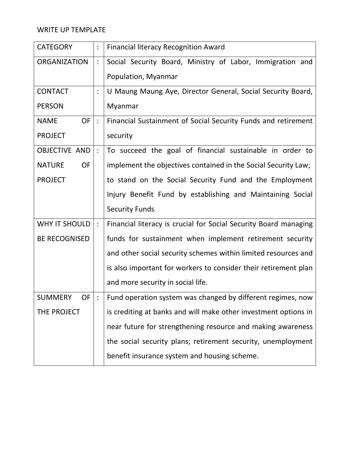# WRITE UP TEMPLATE

| <b>CATEGORY</b>            |                | <b>Financial literacy Recognition Award</b>                      |
|----------------------------|----------------|------------------------------------------------------------------|
| <b>ORGANIZATION</b>        |                | Social Security Board, Ministry of Labor, Immigration and        |
|                            |                | Population, Myanmar                                              |
| <b>CONTACT</b>             |                | U Maung Maung Aye, Director General, Social Security Board,      |
| <b>PERSON</b>              |                | Myanmar                                                          |
| <b>OF</b><br><b>NAME</b>   | $\ddot{\cdot}$ | Financial Sustainment of Social Security Funds and retirement    |
| <b>PROJECT</b>             |                | security                                                         |
| <b>OBJECTIVE AND</b>       |                | To succeed the goal of financial sustainable in order to         |
| <b>NATURE</b><br><b>OF</b> |                | implement the objectives contained in the Social Security Law;   |
| <b>PROJECT</b>             |                | to stand on the Social Security Fund and the Employment          |
|                            |                | Injury Benefit Fund by establishing and Maintaining Social       |
|                            |                | <b>Security Funds</b>                                            |
| WHY IT SHOULD              | $\ddot{\cdot}$ | Financial literacy is crucial for Social Security Board managing |
| <b>BE RECOGNISED</b>       |                | funds for sustainment when implement retirement security         |
|                            |                | and other social security schemes within limited resources and   |
|                            |                | is also important for workers to consider their retirement plan  |
|                            |                | and more security in social life.                                |
| SUMMERY<br>OF <sub>1</sub> |                | :   Fund operation system was changed by different regimes, now  |
| THE PROJECT                |                | is crediting at banks and will make other investment options in  |
|                            |                | near future for strengthening resource and making awareness      |
|                            |                | the social security plans; retirement security, unemployment     |
|                            |                | benefit insurance system and housing scheme.                     |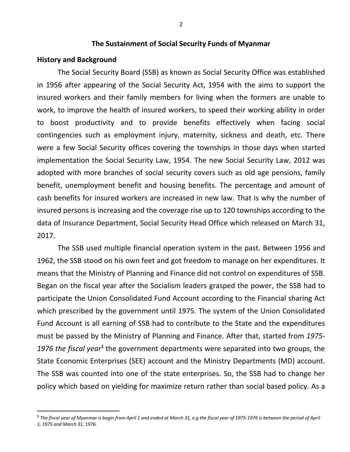# **The Sustainment of Social Security Funds of Myanmar**

## **History and Background**

 $\overline{a}$ 

The Social Security Board (SSB) as known as Social Security Office was established in 1956 after appearing of the Social Security Act, 1954 with the aims to support the insured workers and their family members for living when the formers are unable to work, to improve the health of insured workers, to speed their working ability in order to boost productivity and to provide benefits effectively when facing social contingencies such as employment injury, maternity, sickness and death, etc. There were a few Social Security offices covering the townships in those days when started implementation the Social Security Law, 1954. The new Social Security Law, 2012 was adopted with more branches of social security covers such as old age pensions, family benefit, unemployment benefit and housing benefits. The percentage and amount of cash benefits for insured workers are increased in new law. That is why the number of insured persons is increasing and the coverage rise up to 120 townships according to the data of Insurance Department, Social Security Head Office which released on March 31, 2017.

The SSB used multiple financial operation system in the past. Between 1956 and 1962, the SSB stood on his own feet and got freedom to manage on her expenditures. It means that the Ministry of Planning and Finance did not control on expenditures of SSB. Began on the fiscal year after the Socialism leaders grasped the power, the SSB had to participate the Union Consolidated Fund Account according to the Financial sharing Act which prescribed by the government until 1975. The system of the Union Consolidated Fund Account is all earning of SSB had to contribute to the State and the expenditures must be passed by the Ministry of Planning and Finance. After that, started from *1975-* 1976 the fiscal year<sup>1</sup> the government departments were separated into two groups, the State Economic Enterprises (SEE) account and the Ministry Departments (MD) account. The SSB was counted into one of the state enterprises. So, the SSB had to change her policy which based on yielding for maximize return rather than social based policy. As a

**<sup>1</sup>** *The fiscal year of Myanmar is begin from April 1 and ended at March 31, e.g the fiscal year of 1975-1976 is between the period of April 1, 1975 and March 31, 1976.*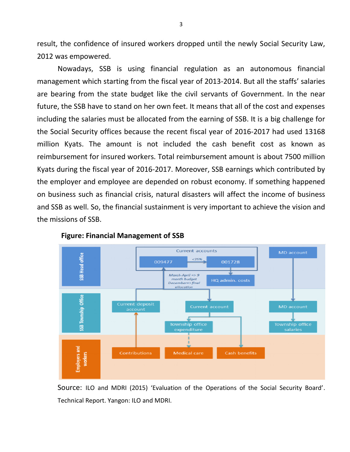result, the confidence of insured workers dropped until the newly Social Security Law, 2012 was empowered.

Nowadays, SSB is using financial regulation as an autonomous financial management which starting from the fiscal year of 2013-2014. But all the staffs' salaries are bearing from the state budget like the civil servants of Government. In the near future, the SSB have to stand on her own feet. It means that all of the cost and expenses including the salaries must be allocated from the earning of SSB. It is a big challenge for the Social Security offices because the recent fiscal year of 2016-2017 had used 13168 million Kyats. The amount is not included the cash benefit cost as known as reimbursement for insured workers. Total reimbursement amount is about 7500 million Kyats during the fiscal year of 2016-2017. Moreover, SSB earnings which contributed by the employer and employee are depended on robust economy. If something happened on business such as financial crisis, natural disasters will affect the income of business and SSB as well. So, the financial sustainment is very important to achieve the vision and the missions of SSB.



#### **Figure: Financial Management of SSB**

Source: ILO and MDRI (2015) 'Evaluation of the Operations of the Social Security Board'. Technical Report. Yangon: ILO and MDRI.

3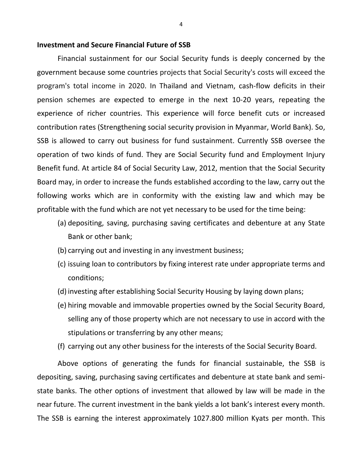#### **Investment and Secure Financial Future of SSB**

Financial sustainment for our Social Security funds is deeply concerned by the government because some countries projects that Social Security's costs will exceed the program's total income in 2020. In Thailand and Vietnam, cash-flow deficits in their pension schemes are expected to emerge in the next 10-20 years, repeating the experience of richer countries. This experience will force benefit cuts or increased contribution rates (Strengthening social security provision in Myanmar, World Bank). So, SSB is allowed to carry out business for fund sustainment. Currently SSB oversee the operation of two kinds of fund. They are Social Security fund and Employment Injury Benefit fund. At article 84 of Social Security Law, 2012, mention that the Social Security Board may, in order to increase the funds established according to the law, carry out the following works which are in conformity with the existing law and which may be profitable with the fund which are not yet necessary to be used for the time being:

- (a) depositing, saving, purchasing saving certificates and debenture at any State Bank or other bank;
- (b) carrying out and investing in any investment business;
- (c) issuing loan to contributors by fixing interest rate under appropriate terms and conditions;
- (d) investing after establishing Social Security Housing by laying down plans;
- (e) hiring movable and immovable properties owned by the Social Security Board, selling any of those property which are not necessary to use in accord with the stipulations or transferring by any other means;
- (f) carrying out any other business for the interests of the Social Security Board.

Above options of generating the funds for financial sustainable, the SSB is depositing, saving, purchasing saving certificates and debenture at state bank and semistate banks. The other options of investment that allowed by law will be made in the near future. The current investment in the bank yields a lot bank's interest every month. The SSB is earning the interest approximately 1027.800 million Kyats per month. This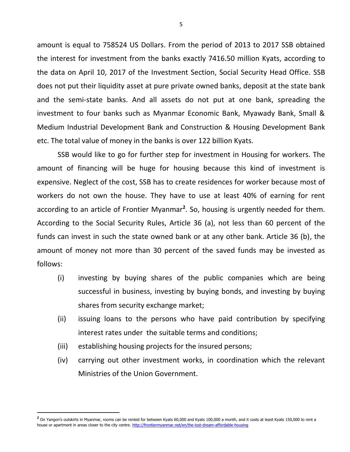amount is equal to 758524 US Dollars. From the period of 2013 to 2017 SSB obtained the interest for investment from the banks exactly 7416.50 million Kyats, according to the data on April 10, 2017 of the Investment Section, Social Security Head Office. SSB does not put their liquidity asset at pure private owned banks, deposit at the state bank and the semi-state banks. And all assets do not put at one bank, spreading the investment to four banks such as Myanmar Economic Bank, Myawady Bank, Small & Medium Industrial Development Bank and Construction & Housing Development Bank etc. The total value of money in the banks is over 122 billion Kyats.

SSB would like to go for further step for investment in Housing for workers. The amount of financing will be huge for housing because this kind of investment is expensive. Neglect of the cost, SSB has to create residences for worker because most of workers do not own the house. They have to use at least 40% of earning for rent according to an article of Frontier Myanmar<sup>2</sup>. So, housing is urgently needed for them. According to the Social Security Rules, Article 36 (a), not less than 60 percent of the funds can invest in such the state owned bank or at any other bank. Article 36 (b), the amount of money not more than 30 percent of the saved funds may be invested as follows:

- (i) investing by buying shares of the public companies which are being successful in business, investing by buying bonds, and investing by buying shares from security exchange market;
- (ii) issuing loans to the persons who have paid contribution by specifying interest rates under the suitable terms and conditions;
- (iii) establishing housing projects for the insured persons;

 $\ddot{\phantom{a}}$ 

(iv) carrying out other investment works, in coordination which the relevant Ministries of the Union Government.

<sup>&</sup>lt;sup>2</sup> On Yangon's outskirts in Myanmar, rooms can be rented for between Kyats 60,000 and Kyats 100,000 a month, and it costs at least Kyats 150,000 to rent a house or apartment in areas closer to the city centre[. http://frontiermyanmar.net/en/the-lost-dream-affordable-housing](http://frontiermyanmar.net/en/the-lost-dream-affordable-housing)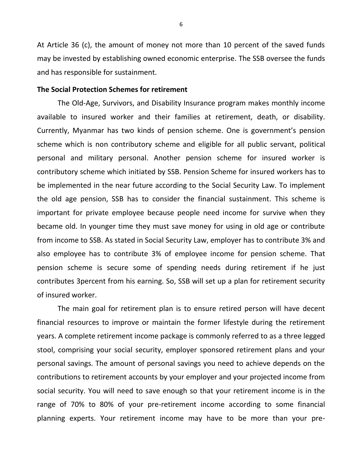At Article 36 (c), the amount of money not more than 10 percent of the saved funds may be invested by establishing owned economic enterprise. The SSB oversee the funds and has responsible for sustainment.

## **The Social Protection Schemes for retirement**

The Old-Age, Survivors, and Disability Insurance program makes monthly income available to insured worker and their families at retirement, death, or disability. Currently, Myanmar has two kinds of pension scheme. One is government's pension scheme which is non contributory scheme and eligible for all public servant, political personal and military personal. Another pension scheme for insured worker is contributory scheme which initiated by SSB. Pension Scheme for insured workers has to be implemented in the near future according to the Social Security Law. To implement the old age pension, SSB has to consider the financial sustainment. This scheme is important for private employee because people need income for survive when they became old. In younger time they must save money for using in old age or contribute from income to SSB. As stated in Social Security Law, employer has to contribute 3% and also employee has to contribute 3% of employee income for pension scheme. That pension scheme is secure some of spending needs during retirement if he just contributes 3percent from his earning. So, SSB will set up a plan for retirement security of insured worker.

The main goal for retirement plan is to ensure retired person will have decent financial resources to improve or maintain the former lifestyle during the retirement years. A complete retirement income package is commonly referred to as a three legged stool, comprising your social security, employer sponsored retirement plans and your personal savings. The amount of personal savings you need to achieve depends on the contributions to retirement accounts by your employer and your projected income from social security. You will need to save enough so that your retirement income is in the range of 70% to 80% of your pre-retirement income according to some financial planning experts. Your retirement income may have to be more than your pre-

6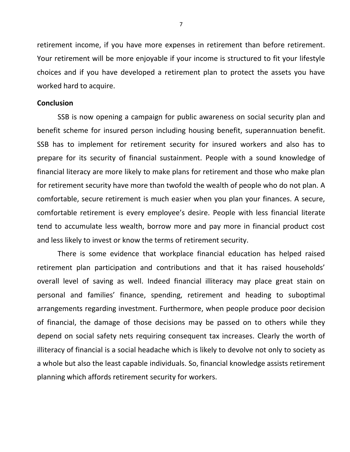retirement income, if you have more expenses in retirement than before retirement. Your retirement will be more enjoyable if your income is structured to fit your lifestyle choices and if you have developed a retirement plan to protect the assets you have worked hard to acquire.

#### **Conclusion**

SSB is now opening a campaign for public awareness on social security plan and benefit scheme for insured person including housing benefit, superannuation benefit. SSB has to implement for retirement security for insured workers and also has to prepare for its security of financial sustainment. People with a sound knowledge of financial literacy are more likely to make plans for retirement and those who make plan for retirement security have more than twofold the wealth of people who do not plan. A comfortable, secure retirement is much easier when you plan your finances. A secure, comfortable retirement is every employee's desire. People with less financial literate tend to accumulate less wealth, borrow more and pay more in financial product cost and less likely to invest or know the terms of retirement security.

There is some evidence that workplace financial education has helped raised retirement plan participation and contributions and that it has raised households' overall level of saving as well. Indeed financial illiteracy may place great stain on personal and families' finance, spending, retirement and heading to suboptimal arrangements regarding investment. Furthermore, when people produce poor decision of financial, the damage of those decisions may be passed on to others while they depend on social safety nets requiring consequent tax increases. Clearly the worth of illiteracy of financial is a social headache which is likely to devolve not only to society as a whole but also the least capable individuals. So, financial knowledge assists retirement planning which affords retirement security for workers.

7